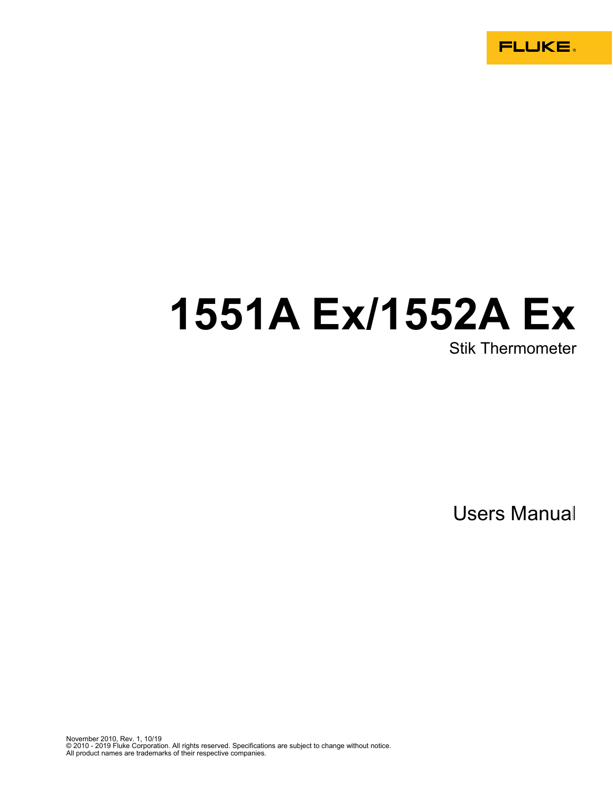**FLUKE.** 

# **1551A Ex/1552A Ex**

Stik Thermometer

Users Manual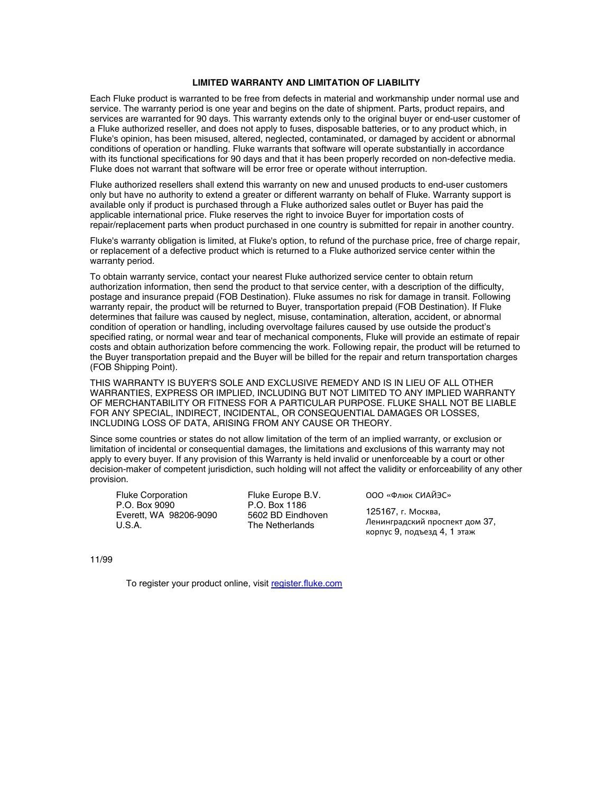#### **LIMITED WARRANTY AND LIMITATION OF LIABILITY**

Each Fluke product is warranted to be free from defects in material and workmanship under normal use and service. The warranty period is one year and begins on the date of shipment. Parts, product repairs, and services are warranted for 90 days. This warranty extends only to the original buyer or end-user customer of a Fluke authorized reseller, and does not apply to fuses, disposable batteries, or to any product which, in Fluke's opinion, has been misused, altered, neglected, contaminated, or damaged by accident or abnormal conditions of operation or handling. Fluke warrants that software will operate substantially in accordance with its functional specifications for 90 days and that it has been properly recorded on non-defective media. Fluke does not warrant that software will be error free or operate without interruption.

Fluke authorized resellers shall extend this warranty on new and unused products to end-user customers only but have no authority to extend a greater or different warranty on behalf of Fluke. Warranty support is available only if product is purchased through a Fluke authorized sales outlet or Buyer has paid the applicable international price. Fluke reserves the right to invoice Buyer for importation costs of repair/replacement parts when product purchased in one country is submitted for repair in another country.

Fluke's warranty obligation is limited, at Fluke's option, to refund of the purchase price, free of charge repair, or replacement of a defective product which is returned to a Fluke authorized service center within the warranty period.

To obtain warranty service, contact your nearest Fluke authorized service center to obtain return authorization information, then send the product to that service center, with a description of the difficulty, postage and insurance prepaid (FOB Destination). Fluke assumes no risk for damage in transit. Following warranty repair, the product will be returned to Buyer, transportation prepaid (FOB Destination). If Fluke determines that failure was caused by neglect, misuse, contamination, alteration, accident, or abnormal condition of operation or handling, including overvoltage failures caused by use outside the product's specified rating, or normal wear and tear of mechanical components, Fluke will provide an estimate of repair costs and obtain authorization before commencing the work. Following repair, the product will be returned to the Buyer transportation prepaid and the Buyer will be billed for the repair and return transportation charges (FOB Shipping Point).

THIS WARRANTY IS BUYER'S SOLE AND EXCLUSIVE REMEDY AND IS IN LIEU OF ALL OTHER WARRANTIES, EXPRESS OR IMPLIED, INCLUDING BUT NOT LIMITED TO ANY IMPLIED WARRANTY OF MERCHANTABILITY OR FITNESS FOR A PARTICULAR PURPOSE. FLUKE SHALL NOT BE LIABLE FOR ANY SPECIAL, INDIRECT, INCIDENTAL, OR CONSEQUENTIAL DAMAGES OR LOSSES, INCLUDING LOSS OF DATA, ARISING FROM ANY CAUSE OR THEORY.

Since some countries or states do not allow limitation of the term of an implied warranty, or exclusion or limitation of incidental or consequential damages, the limitations and exclusions of this warranty may not apply to every buyer. If any provision of this Warranty is held invalid or unenforceable by a court or other decision-maker of competent jurisdiction, such holding will not affect the validity or enforceability of any other provision.

Fluke Corporation P.O. Box 9090 Everett, WA 98206-9090 U.S.A.

Fluke Europe B.V. P.O. Box 1186 5602 BD Eindhoven The Netherlands

ООО «Флюк СИАЙЭС»

125167, г. Москва, Ленинградский проспект дом 37, корпус 9, подъезд 4, 1 этаж

11/99

To register your product online, visit register.fluke.com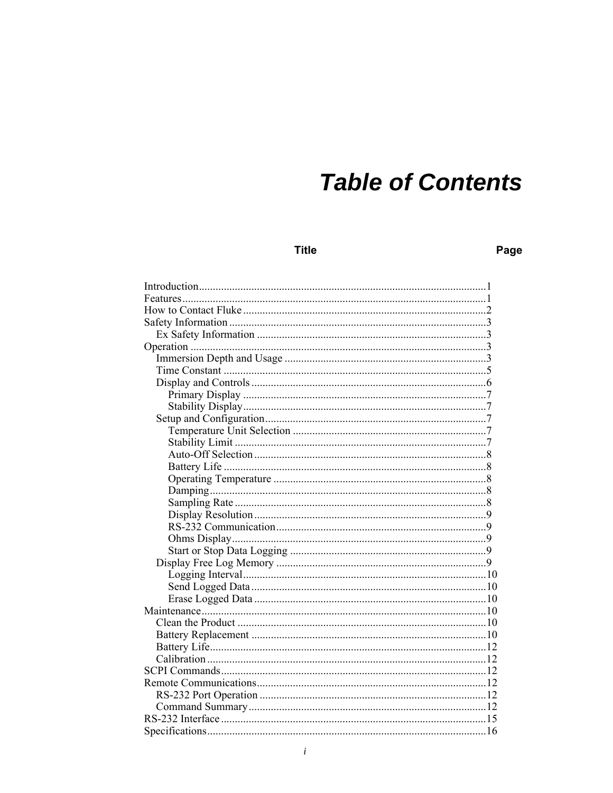## **Table of Contents**

**Title** 

## Page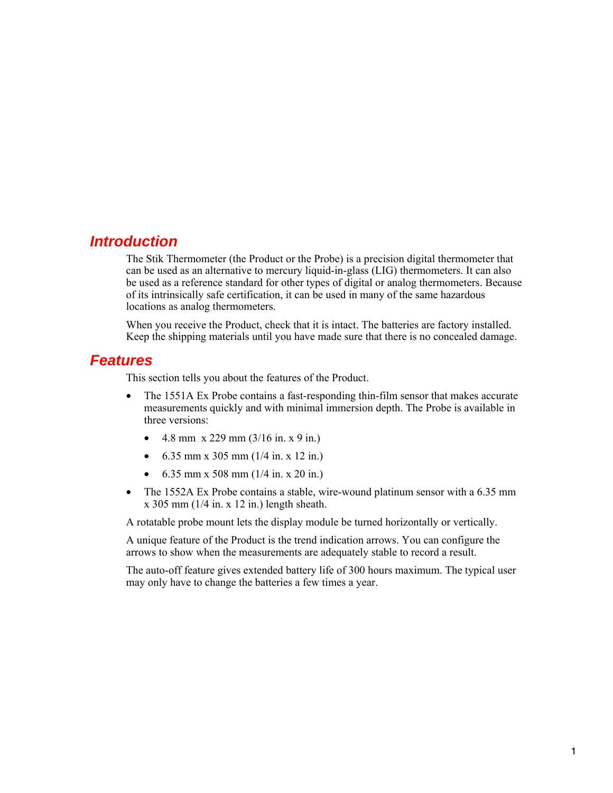## *Introduction*

The Stik Thermometer (the Product or the Probe) is a precision digital thermometer that can be used as an alternative to mercury liquid-in-glass (LIG) thermometers. It can also be used as a reference standard for other types of digital or analog thermometers. Because of its intrinsically safe certification, it can be used in many of the same hazardous locations as analog thermometers.

When you receive the Product, check that it is intact. The batteries are factory installed. Keep the shipping materials until you have made sure that there is no concealed damage.

#### *Features*

This section tells you about the features of the Product.

- The 1551A Ex Probe contains a fast-responding thin-film sensor that makes accurate measurements quickly and with minimal immersion depth. The Probe is available in three versions:
	- 4.8 mm  $x$  229 mm (3/16 in.  $x$  9 in.)
	- 6.35 mm x 305 mm  $(1/4 \text{ in. x } 12 \text{ in.})$
	- 6.35 mm x 508 mm  $(1/4 \text{ in. x } 20 \text{ in.})$
- The 1552A Ex Probe contains a stable, wire-wound platinum sensor with a 6.35 mm  $x$  305 mm (1/4 in.  $x$  12 in.) length sheath.

A rotatable probe mount lets the display module be turned horizontally or vertically.

A unique feature of the Product is the trend indication arrows. You can configure the arrows to show when the measurements are adequately stable to record a result.

The auto-off feature gives extended battery life of 300 hours maximum. The typical user may only have to change the batteries a few times a year.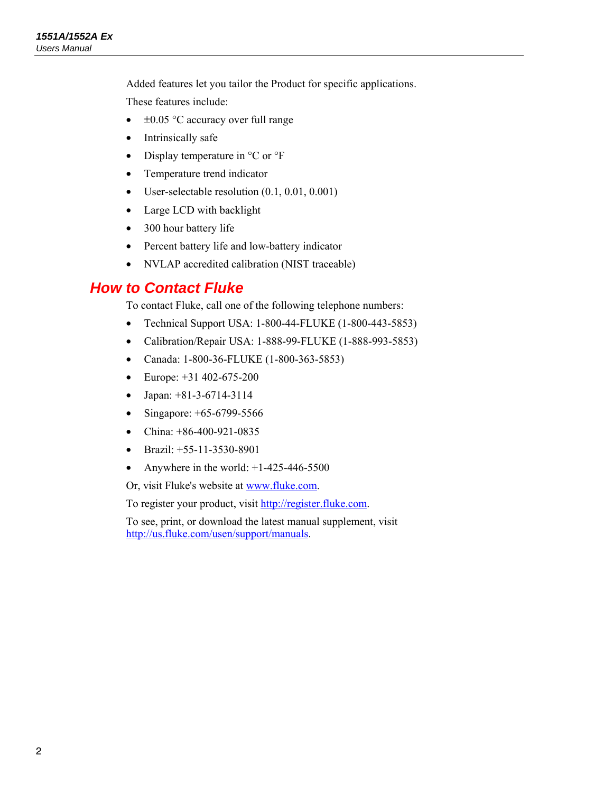Added features let you tailor the Product for specific applications.

These features include:

- $\bullet$   $\pm 0.05$  °C accuracy over full range
- Intrinsically safe
- Display temperature in  $^{\circ}$ C or  $^{\circ}$ F
- Temperature trend indicator
- User-selectable resolution (0.1, 0.01, 0.001)
- Large LCD with backlight
- 300 hour battery life
- Percent battery life and low-battery indicator
- NVLAP accredited calibration (NIST traceable)

## *How to Contact Fluke*

To contact Fluke, call one of the following telephone numbers:

- Technical Support USA: 1-800-44-FLUKE (1-800-443-5853)
- Calibration/Repair USA: 1-888-99-FLUKE (1-888-993-5853)
- Canada: 1-800-36-FLUKE (1-800-363-5853)
- Europe:  $+31$  402-675-200
- Japan:  $+81-3-6714-3114$
- Singapore:  $+65-6799-5566$
- China:  $+86-400-921-0835$
- Brazil:  $+55-11-3530-8901$
- Anywhere in the world:  $+1-425-446-5500$

Or, visit Fluke's website at www.fluke.com.

To register your product, visit http://register.fluke.com.

To see, print, or download the latest manual supplement, visit http://us.fluke.com/usen/support/manuals.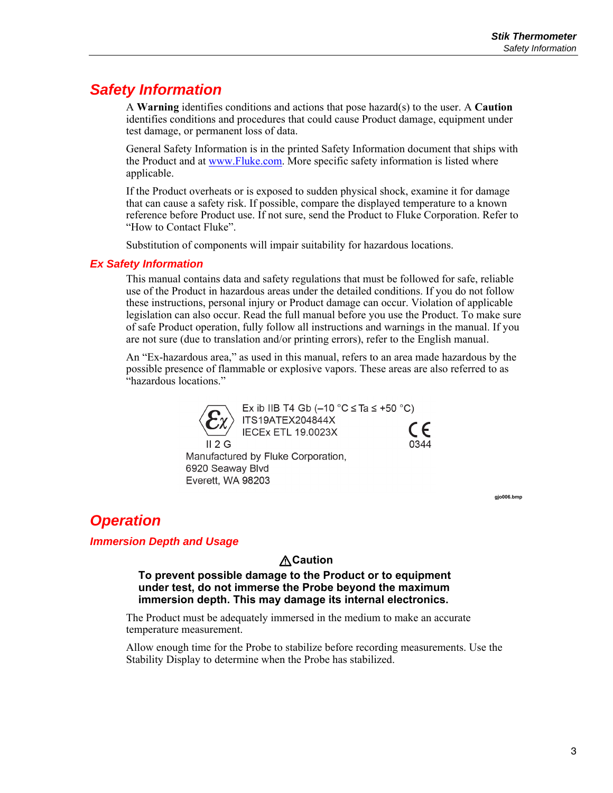## *Safety Information*

A **Warning** identifies conditions and actions that pose hazard(s) to the user. A **Caution** identifies conditions and procedures that could cause Product damage, equipment under test damage, or permanent loss of data.

General Safety Information is in the printed Safety Information document that ships with the Product and at www.Fluke.com. More specific safety information is listed where applicable.

If the Product overheats or is exposed to sudden physical shock, examine it for damage that can cause a safety risk. If possible, compare the displayed temperature to a known reference before Product use. If not sure, send the Product to Fluke Corporation. Refer to "How to Contact Fluke".

Substitution of components will impair suitability for hazardous locations.

#### *Ex Safety Information*

This manual contains data and safety regulations that must be followed for safe, reliable use of the Product in hazardous areas under the detailed conditions. If you do not follow these instructions, personal injury or Product damage can occur. Violation of applicable legislation can also occur. Read the full manual before you use the Product. To make sure of safe Product operation, fully follow all instructions and warnings in the manual. If you are not sure (due to translation and/or printing errors), refer to the English manual.

An "Ex-hazardous area," as used in this manual, refers to an area made hazardous by the possible presence of flammable or explosive vapors. These areas are also referred to as "hazardous locations."



**gjo006.bmp** 

## *Operation*

#### *Immersion Depth and Usage*

#### W**Caution**

**To prevent possible damage to the Product or to equipment under test, do not immerse the Probe beyond the maximum immersion depth. This may damage its internal electronics.** 

The Product must be adequately immersed in the medium to make an accurate temperature measurement.

Allow enough time for the Probe to stabilize before recording measurements. Use the Stability Display to determine when the Probe has stabilized.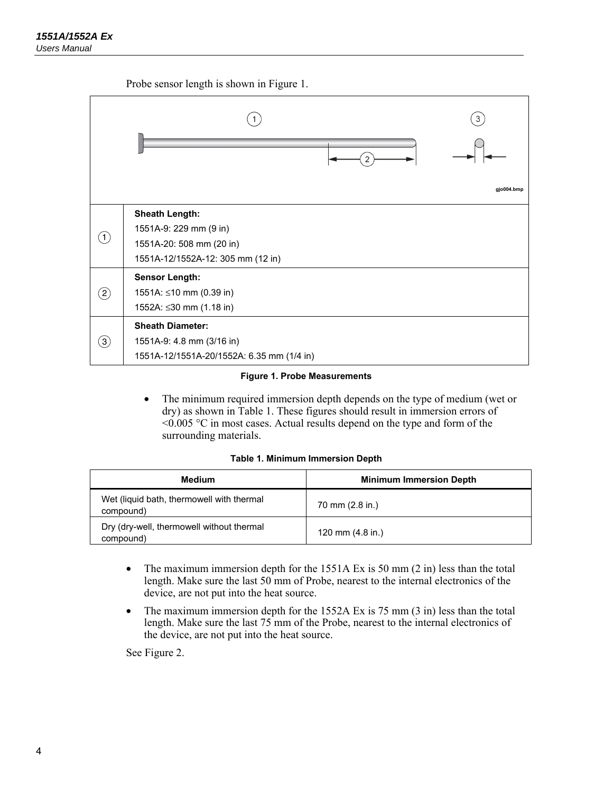Probe sensor length is shown in Figure 1.



#### **Figure 1. Probe Measurements**

• The minimum required immersion depth depends on the type of medium (wet or dry) as shown in Table 1. These figures should result in immersion errors of  $\leq 0.005$  °C in most cases. Actual results depend on the type and form of the surrounding materials.

|  | Table 1. Minimum Immersion Depth |  |
|--|----------------------------------|--|
|  |                                  |  |

| <b>Medium</b>                                          | <b>Minimum Immersion Depth</b> |
|--------------------------------------------------------|--------------------------------|
| Wet (liquid bath, thermowell with thermal<br>compound) | 70 mm (2.8 in.)                |
| Dry (dry-well, thermowell without thermal<br>compound) | 120 mm $(4.8$ in.)             |

- The maximum immersion depth for the  $1551A Ex$  is  $50 \text{ mm}$  (2 in) less than the total length. Make sure the last 50 mm of Probe, nearest to the internal electronics of the device, are not put into the heat source.
- The maximum immersion depth for the 1552A Ex is 75 mm (3 in) less than the total length. Make sure the last 75 mm of the Probe, nearest to the internal electronics of the device, are not put into the heat source.

See Figure 2.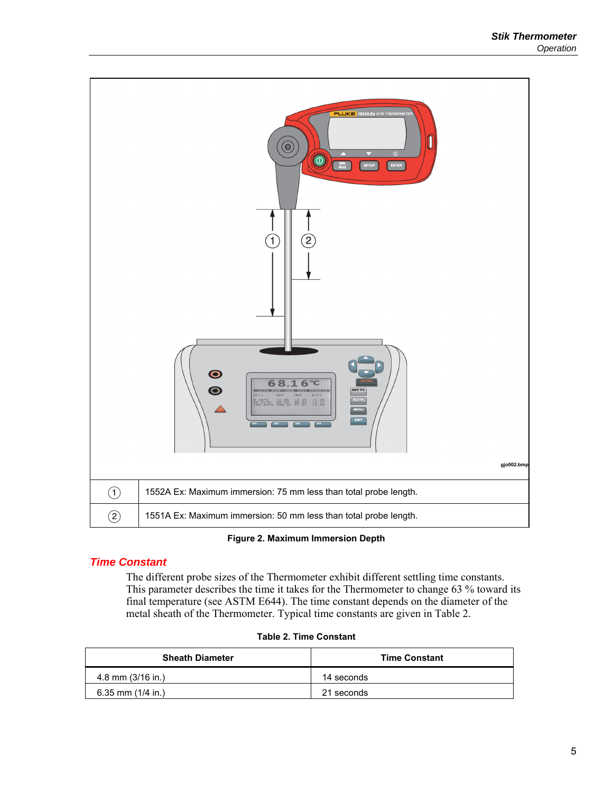

**Figure 2. Maximum Immersion Depth** 

#### *Time Constant*

The different probe sizes of the Thermometer exhibit different settling time constants. This parameter describes the time it takes for the Thermometer to change 63 % toward its final temperature (see ASTM E644). The time constant depends on the diameter of the metal sheath of the Thermometer. Typical time constants are given in Table 2.

| <b>Sheath Diameter</b> | <b>Time Constant</b> |
|------------------------|----------------------|
| 4.8 mm $(3/16$ in.)    | 14 seconds           |
| 6.35 mm $(1/4$ in.)    | 21 seconds           |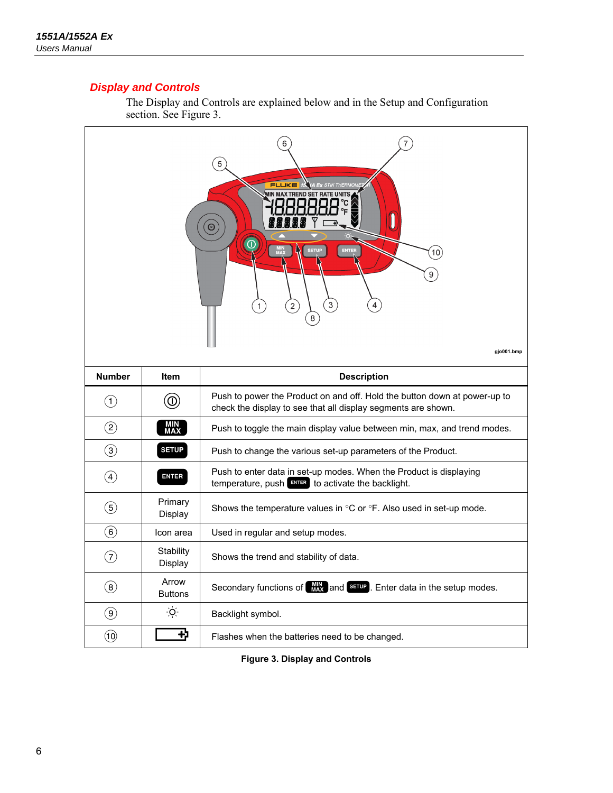#### *Display and Controls*

The Display and Controls are explained below and in the Setup and Configuration section. See Figure 3.



**Figure 3. Display and Controls**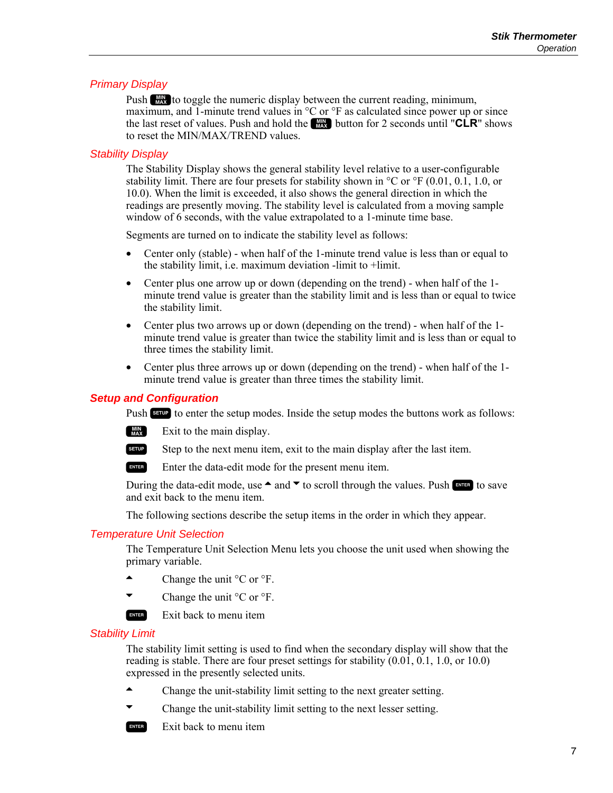#### *Primary Display*

Push **Ato toggle the numeric display between the current reading, minimum,** maximum, and 1-minute trend values in  $\rm{^{\circ}C}$  or  $\rm{^{\circ}F}$  as calculated since power up or since the last reset of values. Push and hold the **A** button for 2 seconds until "**CLR**" shows to reset the MIN/MAX/TREND values.

#### *Stability Display*

The Stability Display shows the general stability level relative to a user-configurable stability limit. There are four presets for stability shown in  $\rm{^{\circ}C}$  or  $\rm{^{\circ}F}$  (0.01, 0.1, 1.0, or 10.0). When the limit is exceeded, it also shows the general direction in which the readings are presently moving. The stability level is calculated from a moving sample window of 6 seconds, with the value extrapolated to a 1-minute time base.

Segments are turned on to indicate the stability level as follows:

- Center only (stable) when half of the 1-minute trend value is less than or equal to the stability limit, i.e. maximum deviation -limit to +limit.
- Center plus one arrow up or down (depending on the trend) when half of the 1minute trend value is greater than the stability limit and is less than or equal to twice the stability limit.
- Center plus two arrows up or down (depending on the trend) when half of the 1minute trend value is greater than twice the stability limit and is less than or equal to three times the stability limit.
- Center plus three arrows up or down (depending on the trend) when half of the 1 minute trend value is greater than three times the stability limit.

#### *Setup and Configuration*

Push SETUP to enter the setup modes. Inside the setup modes the buttons work as follows:

 $\Box$  Exit to the main display.

SERUP Step to the next menu item, exit to the main display after the last item.

ENTER Enter the data-edit mode for the present menu item.

During the data-edit mode, use  $\triangle$  and  $\triangledown$  to scroll through the values. Push  $\mathbb{R}^n$  to save and exit back to the menu item.

The following sections describe the setup items in the order in which they appear.

#### *Temperature Unit Selection*

The Temperature Unit Selection Menu lets you choose the unit used when showing the primary variable.

- $\blacktriangle$  Change the unit  ${}^{\circ}C$  or  ${}^{\circ}F$ .
- Change the unit  $\rm{^{\circ}C}$  or  $\rm{^{\circ}F}$ .

 $Exit back to menu item$ 

#### *Stability Limit*

The stability limit setting is used to find when the secondary display will show that the reading is stable. There are four preset settings for stability (0.01, 0.1, 1.0, or 10.0) expressed in the presently selected units.

- Change the unit-stability limit setting to the next greater setting.
- Change the unit-stability limit setting to the next lesser setting.
- $Exit back to menu item$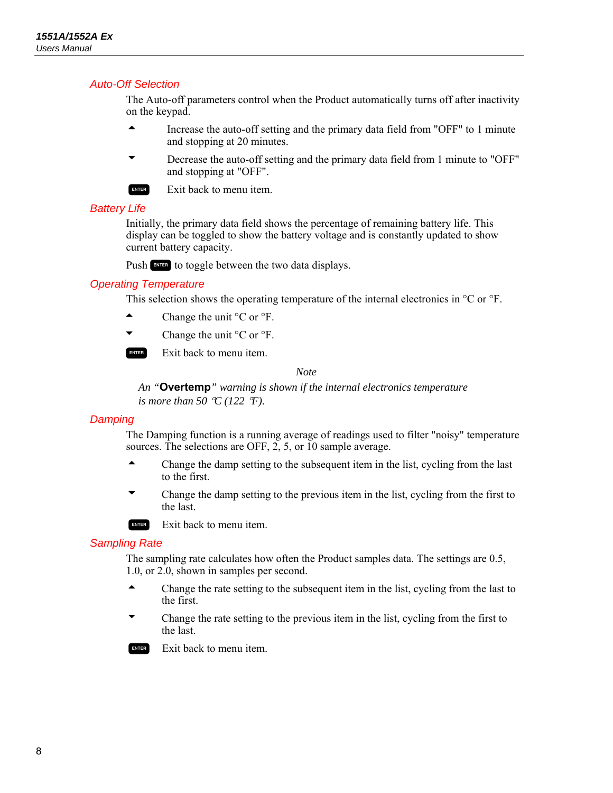#### *Auto-Off Selection*

The Auto-off parameters control when the Product automatically turns off after inactivity on the keypad.

- $\blacktriangle$  Increase the auto-off setting and the primary data field from "OFF" to 1 minute and stopping at 20 minutes.
- Decrease the auto-off setting and the primary data field from 1 minute to "OFF" and stopping at "OFF".



 $Exit back to menu item.$ 

#### *Battery Life*

Initially, the primary data field shows the percentage of remaining battery life. This display can be toggled to show the battery voltage and is constantly updated to show current battery capacity.

Push ENTER to toggle between the two data displays.

#### *Operating Temperature*

This selection shows the operating temperature of the internal electronics in  $^{\circ}$ C or  $^{\circ}$ F.

- $\blacktriangle$  Change the unit  ${}^{\circ}$ C or  ${}^{\circ}$ F.
- Change the unit  $\rm{^{\circ}C}$  or  $\rm{^{\circ}F}$ .

 $Exit back to menu item.$ 

*Note* 

*An "***Overtemp***" warning is shown if the internal electronics temperature is more than 50 °C (122 °F).* 

#### *Damping*

The Damping function is a running average of readings used to filter "noisy" temperature sources. The selections are OFF, 2, 5, or 10 sample average.

- $\blacktriangle$  Change the damp setting to the subsequent item in the list, cycling from the last to the first.
	- Change the damp setting to the previous item in the list, cycling from the first to the last.

 $E$  Exit back to menu item.

#### *Sampling Rate*

The sampling rate calculates how often the Product samples data. The settings are 0.5, 1.0, or 2.0, shown in samples per second.

- $\blacktriangle$  Change the rate setting to the subsequent item in the list, cycling from the last to the first.
- Change the rate setting to the previous item in the list, cycling from the first to the last.

 $E$  Exit back to menu item.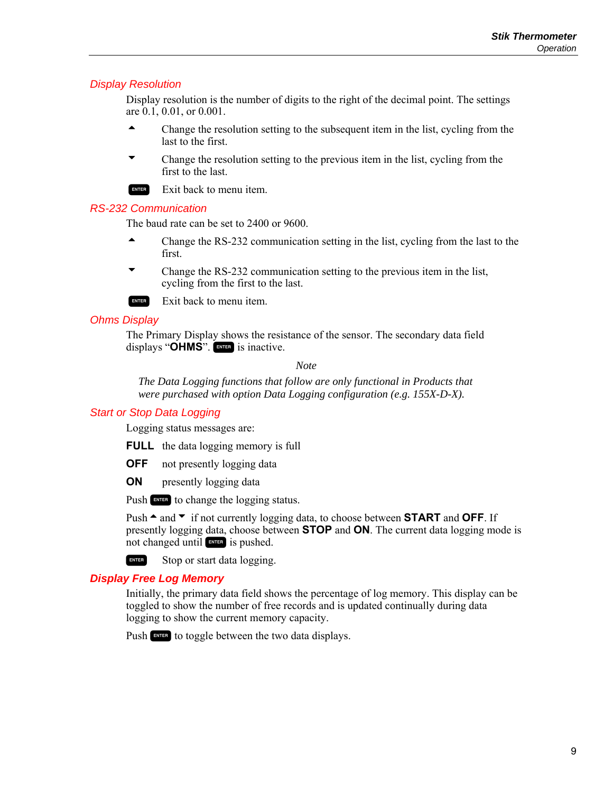#### *Display Resolution*

Display resolution is the number of digits to the right of the decimal point. The settings are 0.1, 0.01, or 0.001.

- $\triangle$  Change the resolution setting to the subsequent item in the list, cycling from the last to the first.
- Change the resolution setting to the previous item in the list, cycling from the first to the last.

 $Exit back to menu item.$ 

#### *RS-232 Communication*

The baud rate can be set to 2400 or 9600.

- $\blacktriangle$  Change the RS-232 communication setting in the list, cycling from the last to the first.
- Change the RS-232 communication setting to the previous item in the list, cycling from the first to the last.
- $Exit back to menu item.$

#### *Ohms Display*

The Primary Display shows the resistance of the sensor. The secondary data field displays "OHMS". ENTER is inactive.

*Note* 

*The Data Logging functions that follow are only functional in Products that were purchased with option Data Logging configuration (e.g. 155X-D-X).* 

#### *Start or Stop Data Logging*

Logging status messages are:

**FULL** the data logging memory is full

**OFF** not presently logging data

**ON** presently logging data

Push ENTER to change the logging status.

Push  $\triangle$  and  $\triangledown$  if not currently logging data, to choose between **START** and **OFF**. If presently logging data, choose between **STOP** and **ON**. The current data logging mode is not changed until **ENTER** is pushed.

ENTER Stop or start data logging.

#### *Display Free Log Memory*

Initially, the primary data field shows the percentage of log memory. This display can be toggled to show the number of free records and is updated continually during data logging to show the current memory capacity.

Push  $\Box$  to toggle between the two data displays.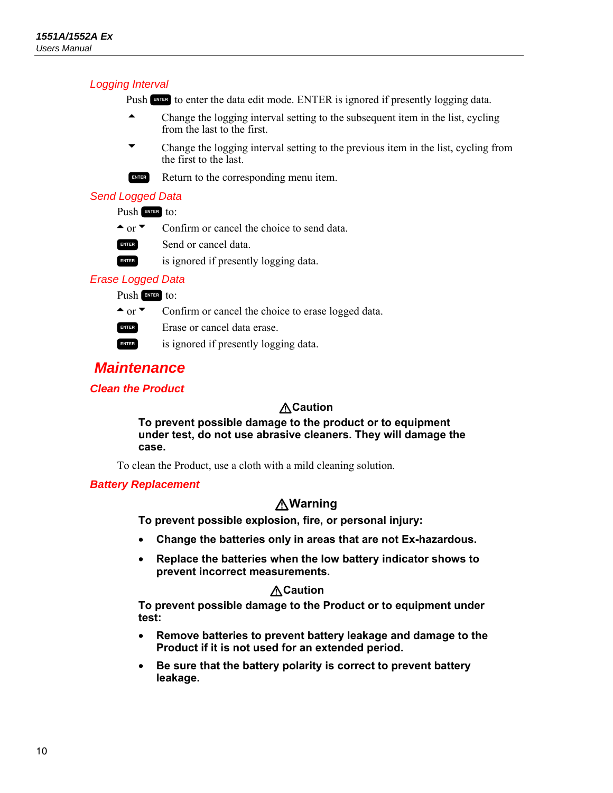#### *Logging Interval*

Push ENTER is ignored if presently logging data.

- Change the logging interval setting to the subsequent item in the list, cycling from the last to the first.
- L Change the logging interval setting to the previous item in the list, cycling from the first to the last.
- ENTER Return to the corresponding menu item.

#### *Send Logged Data*

#### Push **ENTER** to:

- $\textcolor{red}{\bullet}$  or  $\textcolor{red}{\bullet}$  Confirm or cancel the choice to send data.
- ENTER Send or cancel data.
- ENTER is ignored if presently logging data.

#### *Erase Logged Data*

Push ENTER to:

- $\text{For } \infty$  Confirm or cancel the choice to erase logged data.
- ExTER Erase or cancel data erase.
- ENTER is ignored if presently logging data.

## *Maintenance*

#### *Clean the Product*

#### W**Caution**

**To prevent possible damage to the product or to equipment under test, do not use abrasive cleaners. They will damage the case.** 

To clean the Product, use a cloth with a mild cleaning solution.

#### *Battery Replacement*

#### W**Warning**

**To prevent possible explosion, fire, or personal injury:** 

- **Change the batteries only in areas that are not Ex-hazardous.**
- **Replace the batteries when the low battery indicator shows to prevent incorrect measurements.**

#### W**Caution**

**To prevent possible damage to the Product or to equipment under test:** 

- **Remove batteries to prevent battery leakage and damage to the Product if it is not used for an extended period.**
- **Be sure that the battery polarity is correct to prevent battery leakage.**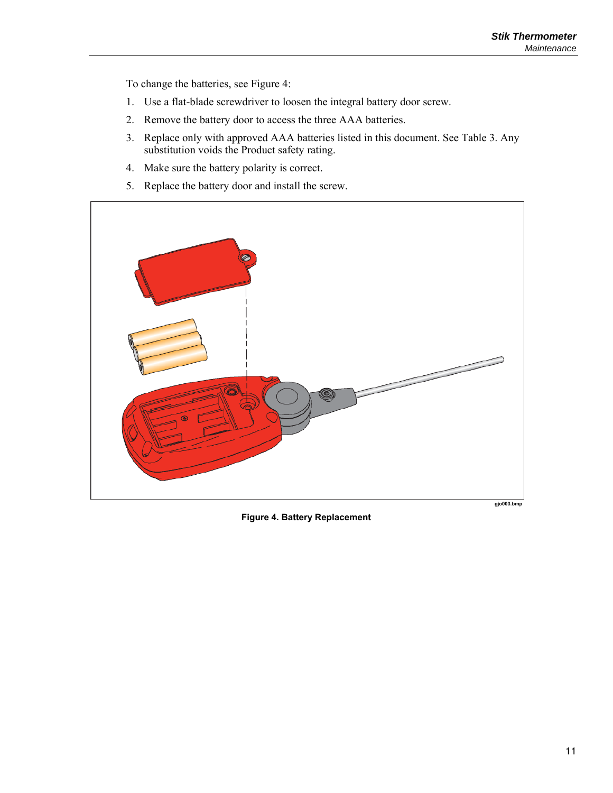To change the batteries, see Figure 4:

- 1. Use a flat-blade screwdriver to loosen the integral battery door screw.
- 2. Remove the battery door to access the three AAA batteries.
- 3. Replace only with approved AAA batteries listed in this document. See Table 3. Any substitution voids the Product safety rating.
- 4. Make sure the battery polarity is correct.
- 5. Replace the battery door and install the screw.



**Figure 4. Battery Replacement**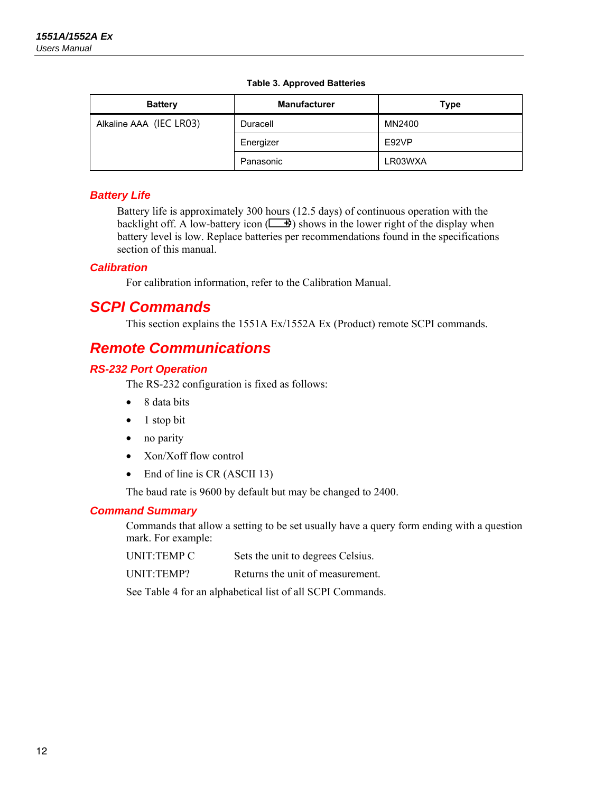|  |  |  | Table 3. Approved Batteries |
|--|--|--|-----------------------------|
|--|--|--|-----------------------------|

| <b>Battery</b>          | <b>Manufacturer</b> | Type    |
|-------------------------|---------------------|---------|
| Alkaline AAA (IEC LR03) | Duracell            | MN2400  |
|                         | Energizer           | E92VP   |
|                         | Panasonic           | LR03WXA |

#### *Battery Life*

Battery life is approximately 300 hours (12.5 days) of continuous operation with the backlight off. A low-battery icon  $(\Box \bullet)$  shows in the lower right of the display when battery level is low. Replace batteries per recommendations found in the specifications section of this manual.

#### *Calibration*

For calibration information, refer to the Calibration Manual.

## *SCPI Commands*

This section explains the 1551A Ex/1552A Ex (Product) remote SCPI commands.

## *Remote Communications*

#### *RS-232 Port Operation*

The RS-232 configuration is fixed as follows:

- 8 data bits
- $\bullet$  1 stop bit
- no parity
- Xon/Xoff flow control
- End of line is CR (ASCII 13)

The baud rate is 9600 by default but may be changed to 2400.

#### *Command Summary*

Commands that allow a setting to be set usually have a query form ending with a question mark. For example:

| UNIT:TEMP C | Sets the unit to degrees Celsius. |
|-------------|-----------------------------------|
|-------------|-----------------------------------|

UNIT:TEMP? Returns the unit of measurement.

See Table 4 for an alphabetical list of all SCPI Commands.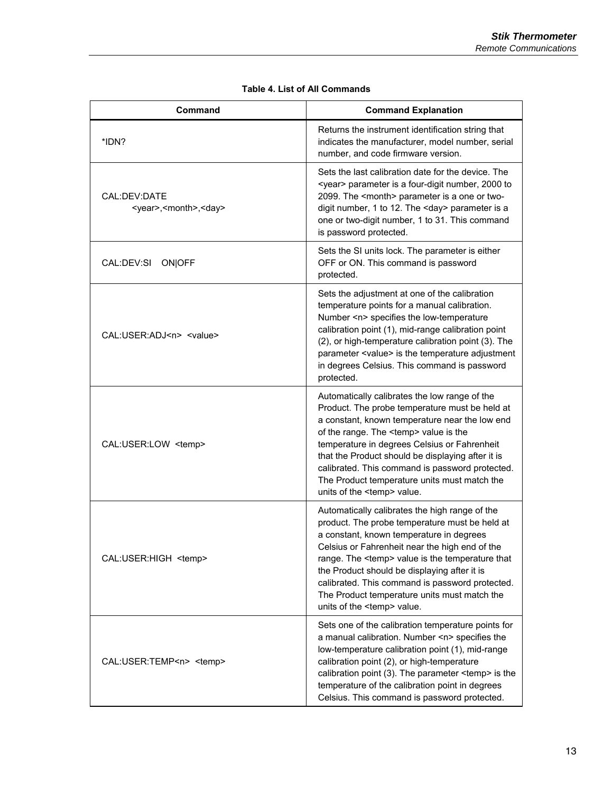| Command                                                   | <b>Command Explanation</b>                                                                                                                                                                                                                                                                                                                                                                                                                           |
|-----------------------------------------------------------|------------------------------------------------------------------------------------------------------------------------------------------------------------------------------------------------------------------------------------------------------------------------------------------------------------------------------------------------------------------------------------------------------------------------------------------------------|
| *IDN?                                                     | Returns the instrument identification string that<br>indicates the manufacturer, model number, serial<br>number, and code firmware version.                                                                                                                                                                                                                                                                                                          |
| CAL:DEV:DATE<br><year>,<month>,<day></day></month></year> | Sets the last calibration date for the device. The<br><year> parameter is a four-digit number, 2000 to<br/>2099. The <month> parameter is a one or two-<br/>digit number, 1 to 12. The <day> parameter is a<br/>one or two-digit number, 1 to 31. This command<br/>is password protected.</day></month></year>                                                                                                                                       |
| CAL:DEV:SI ON OFF                                         | Sets the SI units lock. The parameter is either<br>OFF or ON. This command is password<br>protected.                                                                                                                                                                                                                                                                                                                                                 |
| CAL:USER:ADJ <n> <value></value></n>                      | Sets the adjustment at one of the calibration<br>temperature points for a manual calibration.<br>Number <n> specifies the low-temperature<br/>calibration point (1), mid-range calibration point<br/>(2), or high-temperature calibration point (3). The<br/>parameter <value> is the temperature adjustment<br/>in degrees Celsius. This command is password<br/>protected.</value></n>                                                             |
| CAL:USER:LOW <temp></temp>                                | Automatically calibrates the low range of the<br>Product. The probe temperature must be held at<br>a constant, known temperature near the low end<br>of the range. The <temp> value is the<br/>temperature in degrees Celsius or Fahrenheit<br/>that the Product should be displaying after it is<br/>calibrated. This command is password protected.<br/>The Product temperature units must match the<br/>units of the <temp> value.</temp></temp>  |
| CAL:USER:HIGH <temp></temp>                               | Automatically calibrates the high range of the<br>product. The probe temperature must be held at<br>a constant, known temperature in degrees<br>Celsius or Fahrenheit near the high end of the<br>range. The <temp> value is the temperature that<br/>the Product should be displaying after it is<br/>calibrated. This command is password protected.<br/>The Product temperature units must match the<br/>units of the <temp> value.</temp></temp> |
| CAL:USER:TEMP <n> <temp></temp></n>                       | Sets one of the calibration temperature points for<br>a manual calibration. Number <n> specifies the<br/>low-temperature calibration point (1), mid-range<br/>calibration point (2), or high-temperature<br/>calibration point (3). The parameter <temp> is the<br/>temperature of the calibration point in degrees<br/>Celsius. This command is password protected.</temp></n>                                                                      |

#### **Table 4. List of All Commands**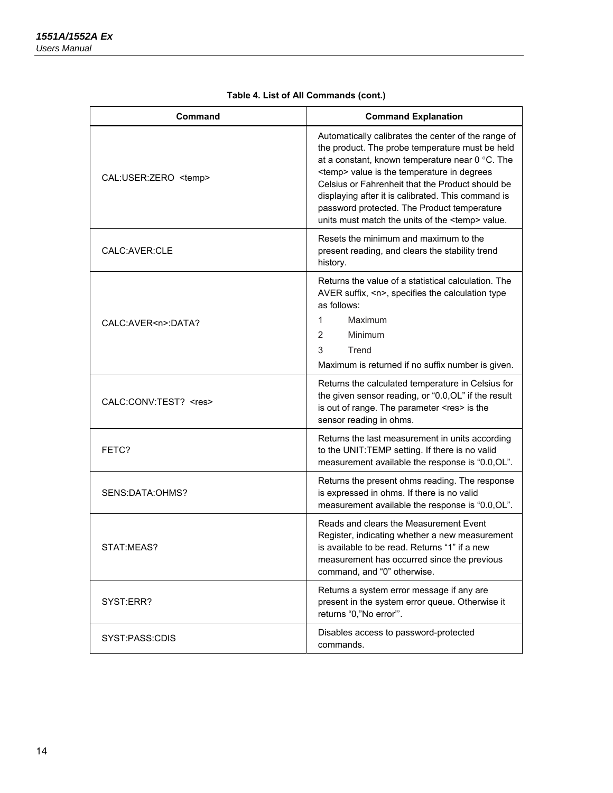| Command                     | <b>Command Explanation</b>                                                                                                                                                                                                                                                                                                                                                                                                            |
|-----------------------------|---------------------------------------------------------------------------------------------------------------------------------------------------------------------------------------------------------------------------------------------------------------------------------------------------------------------------------------------------------------------------------------------------------------------------------------|
| CAL:USER:ZERO <temp></temp> | Automatically calibrates the center of the range of<br>the product. The probe temperature must be held<br>at a constant, known temperature near 0 °C. The<br><temp> value is the temperature in degrees<br/>Celsius or Fahrenheit that the Product should be<br/>displaying after it is calibrated. This command is<br/>password protected. The Product temperature<br/>units must match the units of the <temp> value.</temp></temp> |
| CALC:AVER:CLE               | Resets the minimum and maximum to the<br>present reading, and clears the stability trend<br>history.                                                                                                                                                                                                                                                                                                                                  |
| CALC:AVER <n>:DATA?</n>     | Returns the value of a statistical calculation. The<br>AVER suffix, <n>, specifies the calculation type<br/>as follows:<br/>1<br/>Maximum<br/><math>\overline{2}</math><br/>Minimum<br/>3<br/>Trend<br/>Maximum is returned if no suffix number is given.</n>                                                                                                                                                                         |
| CALC:CONV:TEST? <res></res> | Returns the calculated temperature in Celsius for<br>the given sensor reading, or "0.0, OL" if the result<br>is out of range. The parameter <res> is the<br/>sensor reading in ohms.</res>                                                                                                                                                                                                                                            |
| FETC?                       | Returns the last measurement in units according<br>to the UNIT:TEMP setting. If there is no valid<br>measurement available the response is "0.0, OL".                                                                                                                                                                                                                                                                                 |
| SENS:DATA:OHMS?             | Returns the present ohms reading. The response<br>is expressed in ohms. If there is no valid<br>measurement available the response is "0.0, OL".                                                                                                                                                                                                                                                                                      |
| STAT:MEAS?                  | Reads and clears the Measurement Event<br>Register, indicating whether a new measurement<br>is available to be read. Returns "1" if a new<br>measurement has occurred since the previous<br>command, and "0" otherwise.                                                                                                                                                                                                               |
| SYST:ERR?                   | Returns a system error message if any are<br>present in the system error queue. Otherwise it<br>returns "0,"No error"'.                                                                                                                                                                                                                                                                                                               |
| SYST:PASS:CDIS              | Disables access to password-protected<br>commands.                                                                                                                                                                                                                                                                                                                                                                                    |

#### **Table 4. List of All Commands (cont.)**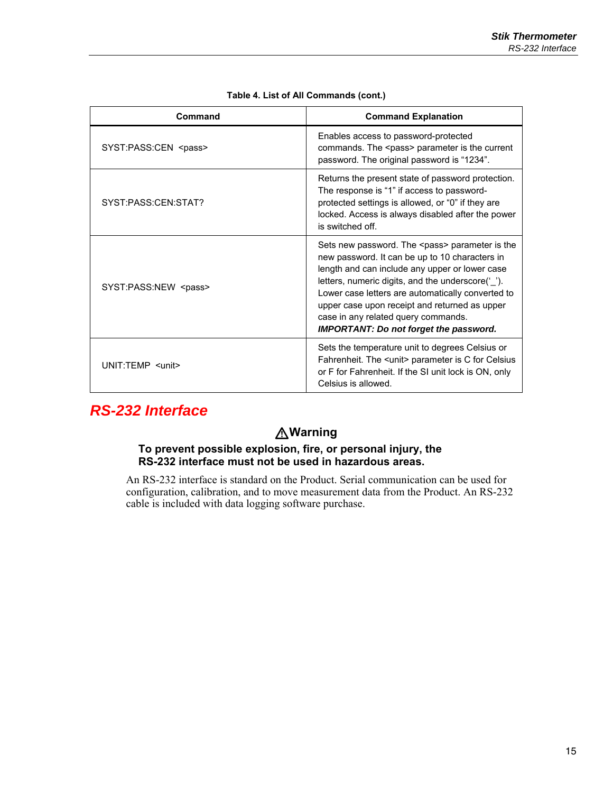| Command                     | <b>Command Explanation</b>                                                                                                                                                                                                                                                                                                                                                                                          |
|-----------------------------|---------------------------------------------------------------------------------------------------------------------------------------------------------------------------------------------------------------------------------------------------------------------------------------------------------------------------------------------------------------------------------------------------------------------|
| SYST:PASS:CEN <pass></pass> | Enables access to password-protected<br>commands. The <pass> parameter is the current<br/>password. The original password is "1234".</pass>                                                                                                                                                                                                                                                                         |
| SYST:PASS:CFN:STAT?         | Returns the present state of password protection.<br>The response is "1" if access to password-<br>protected settings is allowed, or "0" if they are<br>locked. Access is always disabled after the power<br>is switched off.                                                                                                                                                                                       |
| SYST:PASS:NEW <pass></pass> | Sets new password. The <pass> parameter is the<br/>new password. It can be up to 10 characters in<br/>length and can include any upper or lower case<br/>letters, numeric digits, and the underscore(' ').<br/>Lower case letters are automatically converted to<br/>upper case upon receipt and returned as upper<br/>case in any related query commands.<br/><b>IMPORTANT: Do not forget the password.</b></pass> |
| UNIT:TEMP <unit></unit>     | Sets the temperature unit to degrees Celsius or<br>Fahrenheit. The <unit> parameter is C for Celsius<br/>or F for Fahrenheit. If the SI unit lock is ON, only<br/>Celsius is allowed.</unit>                                                                                                                                                                                                                        |

#### **Table 4. List of All Commands (cont.)**

## *RS-232 Interface*

## W**Warning**

#### **To prevent possible explosion, fire, or personal injury, the RS-232 interface must not be used in hazardous areas.**

An RS-232 interface is standard on the Product. Serial communication can be used for configuration, calibration, and to move measurement data from the Product. An RS-232 cable is included with data logging software purchase.